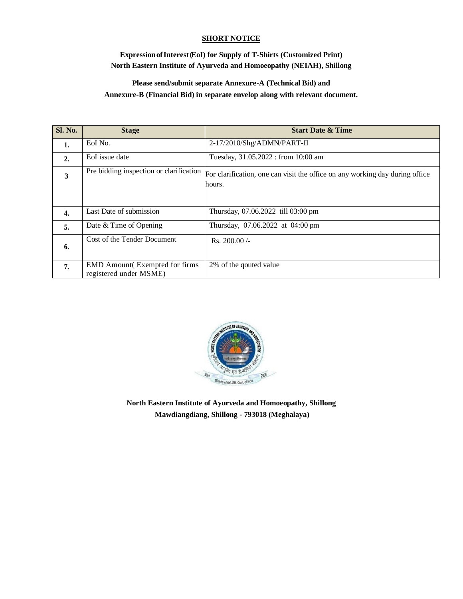### **SHORT NOTICE**

## **ExpressionofInterest(EoI) for Supply of T-Shirts (Customized Print) North Eastern Institute of Ayurveda and Homoeopathy (NEIAH), Shillong**

# **Please send/submit separate Annexure-A (Technical Bid) and Annexure-B (Financial Bid) in separate envelop along with relevant document.**

| <b>Sl. No.</b>   | <b>Stage</b>                                                    | <b>Start Date &amp; Time</b>                                                           |
|------------------|-----------------------------------------------------------------|----------------------------------------------------------------------------------------|
| 1.               | EoI No.                                                         | 2-17/2010/Shg/ADMN/PART-II                                                             |
| 2.               | EoI issue date                                                  | Tuesday, 31.05.2022 : from 10:00 am                                                    |
| 3                | Pre bidding inspection or clarification                         | For clarification, one can visit the office on any working day during office<br>hours. |
|                  |                                                                 |                                                                                        |
| $\overline{4}$ . | Last Date of submission                                         | Thursday, 07.06.2022 till 03:00 pm                                                     |
| 5.               | Date & Time of Opening                                          | Thursday, 07.06.2022 at 04:00 pm                                                       |
| 6.               | Cost of the Tender Document                                     | Rs. $200.00/-$                                                                         |
| 7.               | <b>EMD</b> Amount(Exempted for firms)<br>registered under MSME) | 2% of the qouted value                                                                 |



**North Eastern Institute of Ayurveda and Homoeopathy, Shillong Mawdiangdiang, Shillong - 793018 (Meghalaya)**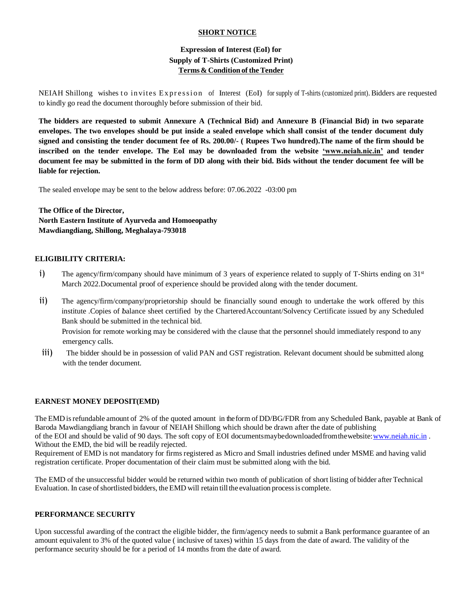### **SHORT NOTICE**

## **Expression of Interest (EoI) for Supply of T-Shirts (Customized Print) Terms& Condition of theTender**

NEIAH Shillong wishes to invites Expression of Interest (EoI) for supply of T-shirts (customized print). Bidders are requested to kindly go read the document thoroughly before submission of their bid.

**The bidders are requested to submit Annexure A (Technical Bid) and Annexure B (Financial Bid) in two separate envelopes. The two envelopes should be put inside a sealed envelope which shall consist of the tender document duly signed and consisting the tender document fee of Rs. 200.00/- ( Rupees Two hundred).The name of the firm should be inscribed on the tender envelope. The EoI may be downloaded from the website 'www.neiah.nic.in' and tender document fee may be submitted in the form of DD along with their bid. Bids without the tender document fee will be liable for rejection.**

The sealed envelope may be sent to the below address before: 07.06.2022 -03:00 pm

**The Office of the Director, North Eastern Institute of Ayurveda and Homoeopathy Mawdiangdiang, Shillong, Meghalaya-793018**

#### **ELIGIBILITY CRITERIA:**

- i) The agency/firm/company should have minimum of 3 years of experience related to supply of T-Shirts ending on  $31<sup>st</sup>$ March 2022.Documental proof of experience should be provided along with the tender document.
- ii) The agency/firm/company/proprietorship should be financially sound enough to undertake the work offered by this institute .Copies of balance sheet certified by the CharteredAccountant/Solvency Certificate issued by any Scheduled Bank should be submitted in the technical bid.

 Provision for remote working may be considered with the clause that the personnel should immediately respond to any emergency calls.

iii) The bidder should be in possession of valid PAN and GST registration. Relevant document should be submitted along with the tender document.

#### **EARNEST MONEY DEPOSIT(EMD)**

The EMD isrefundable amount of 2% of the quoted amount in the form of DD/BG/FDR from any Scheduled Bank, payable at Bank of Baroda Mawdiangdiang branch in favour of NEIAH Shillong which should be drawn after the date of publishing of the EOI and should be valid of 90 days. The soft copy of EOI documentsmaybedownloaded from the website: www.neiah.nic.in .

Without the EMD, the bid will be readily rejected. Requirement of EMD is not mandatory for firms registered as Micro and Small industries defined under MSME and having valid registration certificate. Proper documentation of their claim must be submitted along with the bid.

The EMD of the unsuccessful bidder would be returned within two month of publication of short listing of bidder after Technical Evaluation. In case of shortlisted bidders, the EMD will retain till the evaluation process is complete.

#### **PERFORMANCE SECURITY**

Upon successful awarding of the contract the eligible bidder, the firm/agency needs to submit a Bank performance guarantee of an amount equivalent to 3% of the quoted value ( inclusive of taxes) within 15 days from the date of award. The validity of the performance security should be for a period of 14 months from the date of award.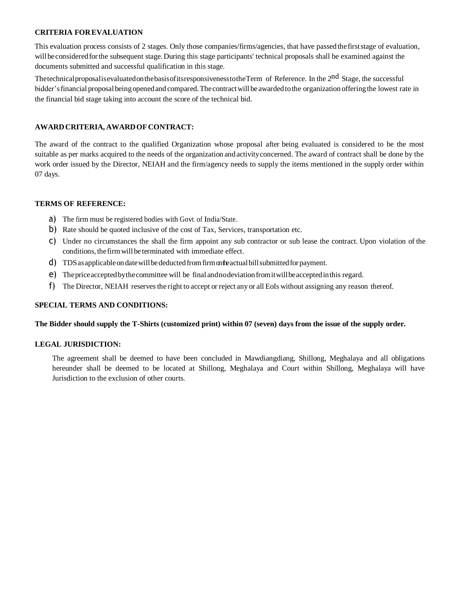#### **CRITERIA FOR EVALUATION**

This evaluation process consists of 2 stages. Only those companies/firms/agencies, that have passed thefirststage of evaluation, will be considered for the subsequent stage. During this stage participants' technical proposals shall be examined against the documents submitted and successful qualification in this stage.

Thetechnical proposalisevaluated on the basis of its responsiveness to the Term of Reference. In the 2<sup>nd</sup> Stage, the successful bidder's financial proposal being opened and compared. The contract will be awarded to the organization offering the lowest rate in the financial bid stage taking into account the score of the technical bid.

### **AWARDCRITERIA, AWARDOFCONTRACT:**

The award of the contract to the qualified Organization whose proposal after being evaluated is considered to be the most suitable as per marks acquired to the needs of the organization andactivityconcerned. The award of contract shall be done by the work order issued by the Director, NEIAH and the firm/agency needs to supply the items mentioned in the supply order within 07 days.

#### **TERMS OF REFERENCE:**

- a) The firm must be registered bodies with Govt. of India/State..
- b) Rate should be quoted inclusive of the cost of Tax, Services, transportation etc.
- c) Under no circumstances the shall the firm appoint any sub contractor or sub lease the contract. Upon violation of the conditions, the firm will be terminated with immediate effect.
- d) TDS as applicable on date will be deducted from firm on the actual bill submitted for payment.
- e) Thepriceacceptedbythecommittee will be final andnodeviationfromitwillbeacceptedinthis regard.
- f) The Director, NEIAH reservesthe right to accept or reject any or all EoIs without assigning any reason thereof.

#### **SPECIAL TERMS AND CONDITIONS:**

#### **The Bidder should supply the T-Shirts (customized print) within 07 (seven) days from the issue of the supply order.**

#### **LEGAL JURISDICTION:**

The agreement shall be deemed to have been concluded in Mawdiangdiang, Shillong, Meghalaya and all obligations hereunder shall be deemed to be located at Shillong, Meghalaya and Court within Shillong, Meghalaya will have Jurisdiction to the exclusion of other courts.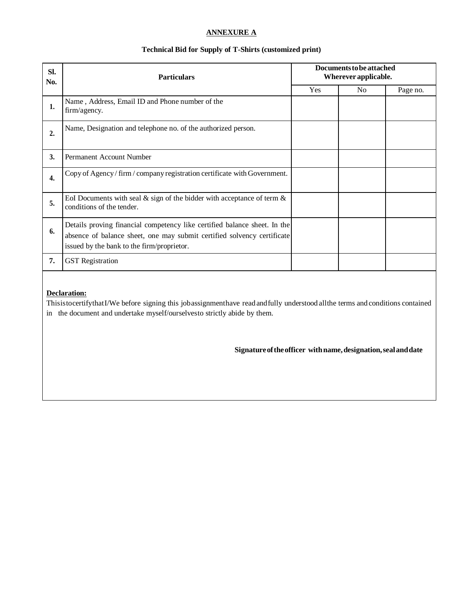## **ANNEXURE A**

### **Technical Bid for Supply of T-Shirts (customized print)**

| SI.<br>No. | <b>Particulars</b>                                                                                                                                                                                 | Documents to be attached<br>Wherever applicable. |                |          |
|------------|----------------------------------------------------------------------------------------------------------------------------------------------------------------------------------------------------|--------------------------------------------------|----------------|----------|
|            |                                                                                                                                                                                                    | Yes                                              | N <sub>0</sub> | Page no. |
| 1.         | Name, Address, Email ID and Phone number of the<br>firm/agency.                                                                                                                                    |                                                  |                |          |
| 2.         | Name, Designation and telephone no. of the authorized person.                                                                                                                                      |                                                  |                |          |
| 3.         | Permanent Account Number                                                                                                                                                                           |                                                  |                |          |
| 4.         | Copy of Agency/firm/company registration certificate with Government.                                                                                                                              |                                                  |                |          |
| 5.         | EoI Documents with seal $\&$ sign of the bidder with acceptance of term $\&$<br>conditions of the tender.                                                                                          |                                                  |                |          |
| 6.         | Details proving financial competency like certified balance sheet. In the<br>absence of balance sheet, one may submit certified solvency certificate<br>issued by the bank to the firm/proprietor. |                                                  |                |          |
| 7.         | <b>GST</b> Registration                                                                                                                                                                            |                                                  |                |          |

## **Declaration:**

ThisistocertifythatI/We before signing this jobassignmenthave readandfully understood allthe terms and conditions contained in the document and undertake myself/ourselvesto strictly abide by them.

 **Signatureoftheofficer withname,designation,sealanddate**